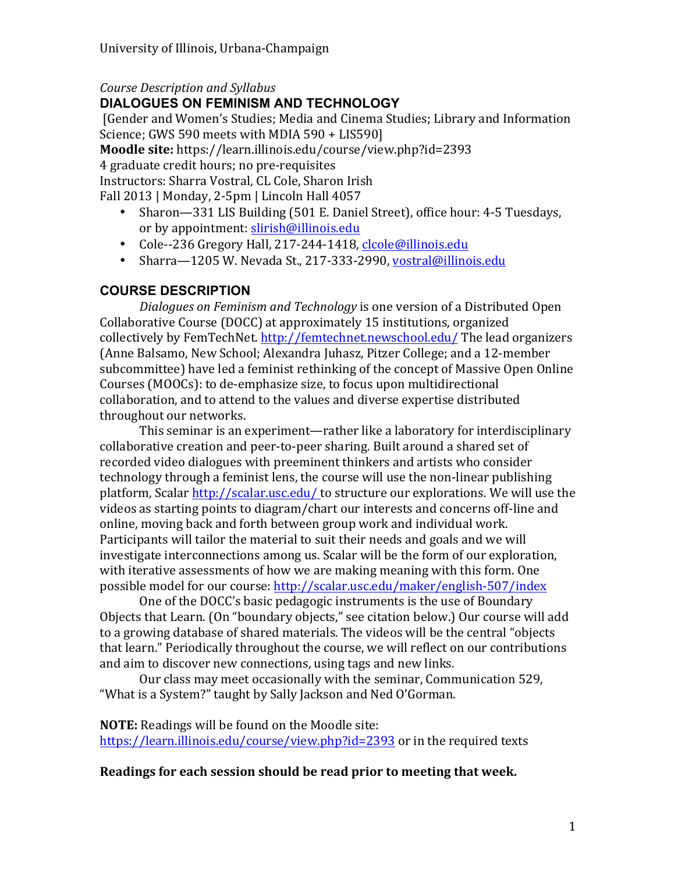#### *Course Description and Syllabus*  **DIALOGUES ON FEMINISM AND TECHNOLOGY**

[Gender and Women's Studies; Media and Cinema Studies; Library and Information Science: GWS 590 meets with MDIA 590 + LIS5901 **Moodle site:** https://learn.illinois.edu/course/view.php?id=2393 4 graduate credit hours; no pre-requisites Instructors: Sharra Vostral, CL Cole, Sharon Irish Fall  $2013$  | Monday,  $2-5$ pm | Lincoln Hall  $4057$ 

- Sharon—331 LIS Building (501 E. Daniel Street), office hour: 4-5 Tuesdays, or by appointment: slirish@illinois.edu
- Cole--236 Gregory Hall, 217-244-1418, clcole@illinois.edu
- Sharra-1205 W. Nevada St., 217-333-2990, vostral@illinois.edu

### **COURSE DESCRIPTION**

*Dialogues on Feminism and Technology* is one version of a Distributed Open Collaborative Course (DOCC) at approximately 15 institutions, organized collectively by FemTechNet. http://femtechnet.newschool.edu/ The lead organizers (Anne Balsamo, New School; Alexandra Juhasz, Pitzer College; and a 12-member subcommittee) have led a feminist rethinking of the concept of Massive Open Online Courses (MOOCs): to de-emphasize size, to focus upon multidirectional collaboration, and to attend to the values and diverse expertise distributed throughout our networks.

This seminar is an experiment—rather like a laboratory for interdisciplinary collaborative creation and peer-to-peer sharing. Built around a shared set of recorded video dialogues with preeminent thinkers and artists who consider technology through a feminist lens, the course will use the non-linear publishing platform, Scalar http://scalar.usc.edu/ to structure our explorations. We will use the videos as starting points to diagram/chart our interests and concerns off-line and online, moving back and forth between group work and individual work. Participants will tailor the material to suit their needs and goals and we will investigate interconnections among us. Scalar will be the form of our exploration, with iterative assessments of how we are making meaning with this form. One possible model for our course: http://scalar.usc.edu/maker/english-507/index

One of the DOCC's basic pedagogic instruments is the use of Boundary Objects that Learn. (On "boundary objects," see citation below.) Our course will add to a growing database of shared materials. The videos will be the central "objects" that learn." Periodically throughout the course, we will reflect on our contributions and aim to discover new connections, using tags and new links.

Our class may meet occasionally with the seminar, Communication 529, "What is a System?" taught by Sally Jackson and Ned O'Gorman.

**NOTE:** Readings will be found on the Moodle site: https://learn.illinois.edu/course/view.php?id=2393 or in the required texts

#### **Readings for each session should be read prior to meeting that week.**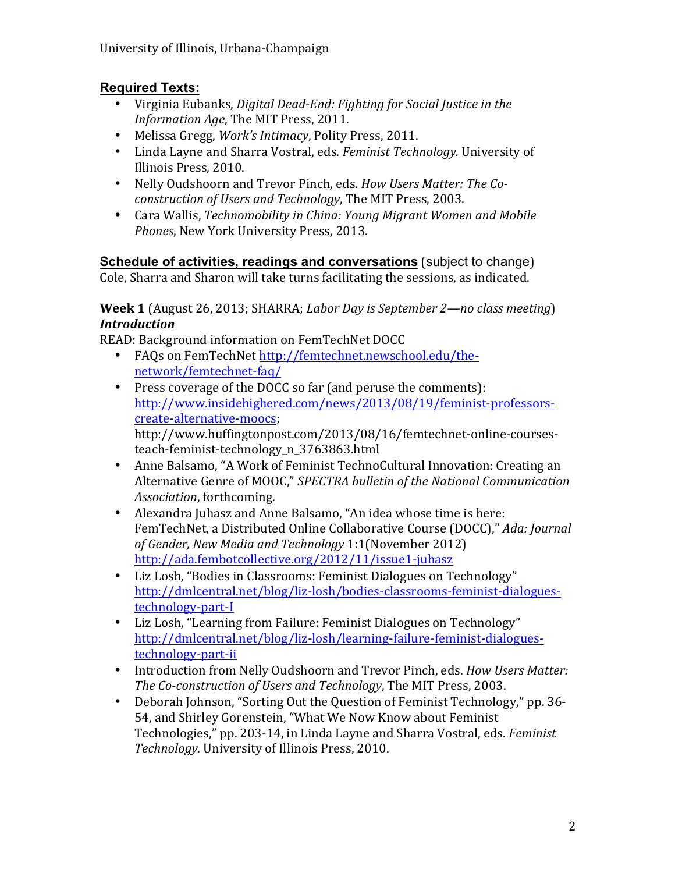### **Required Texts:**

- Virginia Eubanks, *Digital Dead-End: Fighting for Social Justice in the Information Age*, The MIT Press, 2011.
- Melissa Gregg, *Work's Intimacy*, Polity Press, 2011.
- Linda Layne and Sharra Vostral, eds. *Feminist Technology*. University of Illinois Press, 2010.
- Nelly Oudshoorn and Trevor Pinch, eds. *How Users Matter: The Coconstruction of Users and Technology*, The MIT Press, 2003.
- Cara Wallis, *Technomobility in China: Young Migrant Women and Mobile* **Phones, New York University Press, 2013.**

**Schedule of activities, readings and conversations** (subject to change) Cole, Sharra and Sharon will take turns facilitating the sessions, as indicated.

**Week 1** (August 26, 2013; SHARRA; *Labor Day is September 2—no class meeting*) *Introduction*

READ: Background information on FemTechNet DOCC

- FAQs on FemTechNet http://femtechnet.newschool.edu/thenetwork/femtechnet-faq/
- Press coverage of the DOCC so far (and peruse the comments): http://www.insidehighered.com/news/2013/08/19/feminist-professorscreate-alternative-moocs; http://www.huffingtonpost.com/2013/08/16/femtechnet-online-coursesteach-feminist-technology\_n\_3763863.html
- Anne Balsamo, "A Work of Feminist TechnoCultural Innovation: Creating an Alternative Genre of MOOC," SPECTRA bulletin of the National Communication Association, forthcoming.
- Alexandra Juhasz and Anne Balsamo, "An idea whose time is here: FemTechNet, a Distributed Online Collaborative Course (DOCC)," *Ada: Journal* of Gender, New Media and Technology 1:1(November 2012) http://ada.fembotcollective.org/2012/11/issue1-juhasz
- Liz Losh, "Bodies in Classrooms: Feminist Dialogues on Technology" http://dmlcentral.net/blog/liz-losh/bodies-classrooms-feminist-dialoguestechnology-part-I
- Liz Losh, "Learning from Failure: Feminist Dialogues on Technology" http://dmlcentral.net/blog/liz-losh/learning-failure-feminist-dialoguestechnology-part-ii
- Introduction from Nelly Oudshoorn and Trevor Pinch, eds. *How Users Matter: The Co-construction of Users and Technology*, The MIT Press, 2003.
- Deborah Johnson, "Sorting Out the Question of Feminist Technology," pp. 36-54, and Shirley Gorenstein, "What We Now Know about Feminist Technologies," pp. 203-14, in Linda Layne and Sharra Vostral, eds. *Feminist* Technology. University of Illinois Press, 2010.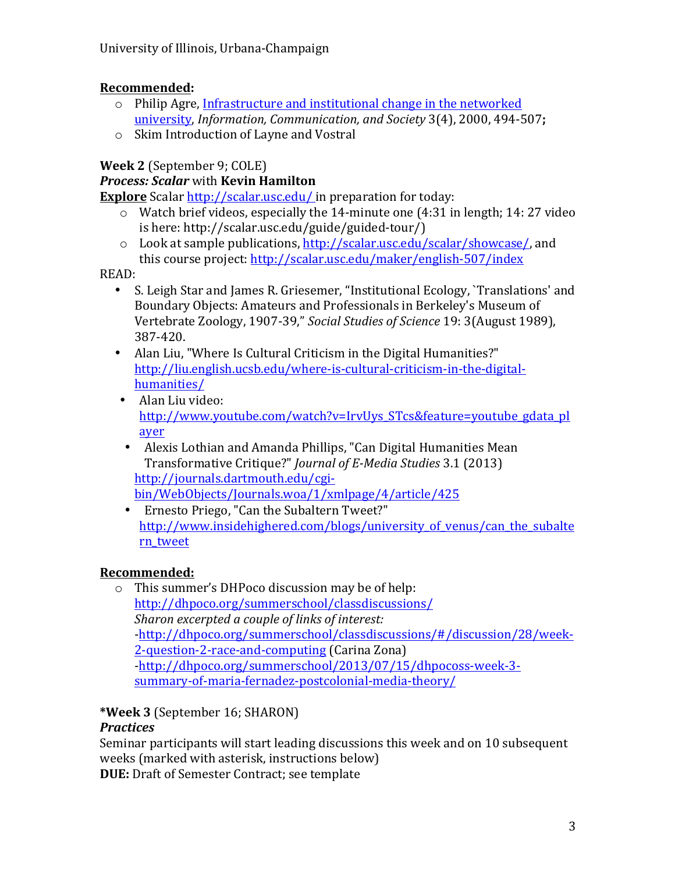### **Recommended:**

- $\circ$  Philip Agre, Infrastructure and institutional change in the networked university, *Information, Communication, and Society* 3(4), 2000, 494-507;
- $\circ$  Skim Introduction of Layne and Vostral

# **Week 2** (September 9; COLE)

## *Process: Scalar with Kevin Hamilton*

**Explore** Scalar http://scalar.usc.edu/ in preparation for today:

- $\circ$  Watch brief videos, especially the 14-minute one (4:31 in length; 14: 27 video is here: http://scalar.usc.edu/guide/guided-tour/)
- $\circ$  Look at sample publications, http://scalar.usc.edu/scalar/showcase/, and this course project: http://scalar.usc.edu/maker/english-507/index

READ:

- S. Leigh Star and James R. Griesemer, "Institutional Ecology, `Translations' and Boundary Objects: Amateurs and Professionals in Berkeley's Museum of Vertebrate Zoology, 1907-39," Social Studies of Science 19: 3(August 1989), 387-420.
- Alan Liu, "Where Is Cultural Criticism in the Digital Humanities?" http://liu.english.ucsb.edu/where-is-cultural-criticism-in-the-digitalhumanities/
- Alan Liu video: http://www.youtube.com/watch?v=IrvUys\_STcs&feature=youtube\_gdata\_pl ayer
- Alexis Lothian and Amanda Phillips, "Can Digital Humanities Mean Transformative Critique?" *Journal of E-Media Studies* 3.1 (2013) http://journals.dartmouth.edu/cgibin/WebObjects/Journals.woa/1/xmlpage/4/article/425
- Ernesto Priego, "Can the Subaltern Tweet?" http://www.insidehighered.com/blogs/university of venus/can the subalte rn\_tweet

# **Recommended:**

 $\circ$  This summer's DHPoco discussion may be of help: http://dhpoco.org/summerschool/classdiscussions/ *Sharon excerpted a couple of links of interest:* -http://dhpoco.org/summerschool/classdiscussions/#/discussion/28/week-2-question-2-race-and-computing (Carina Zona) -http://dhpoco.org/summerschool/2013/07/15/dhpocoss-week-3 summary-of-maria-fernadez-postcolonial-media-theory/

# **\*Week 3** (September 16; SHARON)

### *Practices*

Seminar participants will start leading discussions this week and on 10 subsequent weeks (marked with asterisk, instructions below)

**DUE:** Draft of Semester Contract; see template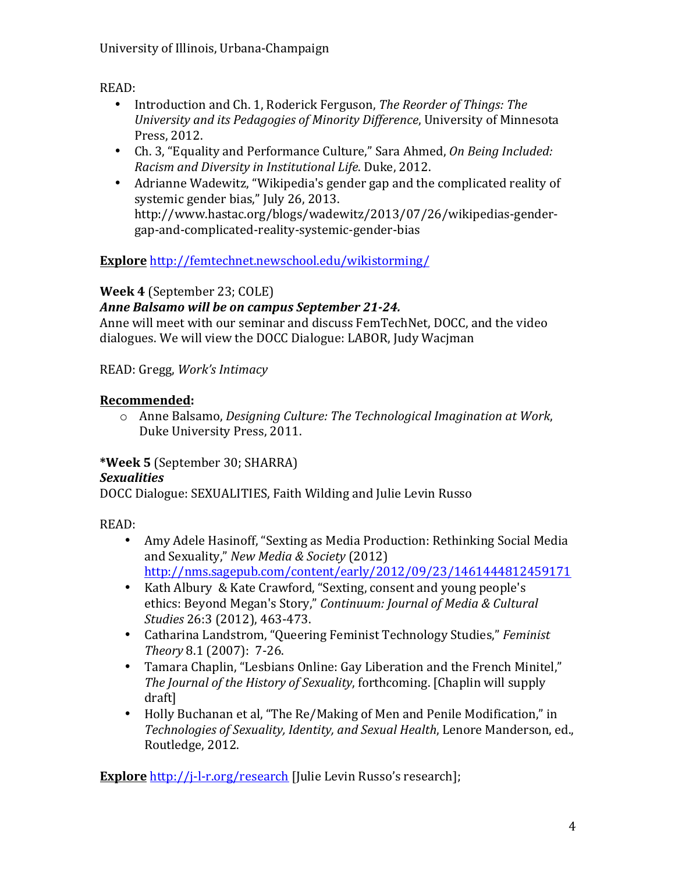READ: 

- Introduction and Ch. 1, Roderick Ferguson, *The Reorder of Things: The University and its Pedagogies of Minority Difference*, University of Minnesota Press, 2012.
- Ch. 3, "Equality and Performance Culture," Sara Ahmed, On Being Included: *Racism and Diversity in Institutional Life*. Duke, 2012.
- Adrianne Wadewitz, "Wikipedia's gender gap and the complicated reality of systemic gender bias," July 26, 2013. http://www.hastac.org/blogs/wadewitz/2013/07/26/wikipedias-gendergap-and-complicated-reality-systemic-gender-bias

**Explore** http://femtechnet.newschool.edu/wikistorming/

# **Week 4** (September 23; COLE)

# Anne Balsamo will be on campus September 21-24.

Anne will meet with our seminar and discuss FemTechNet, DOCC, and the video dialogues. We will view the DOCC Dialogue: LABOR, Judy Wacjman

READ: Gregg, *Work's Intimacy*

## **Recommended:**

o Anne Balsamo, *Designing Culture: The Technological Imagination at Work*, Duke University Press, 2011.

# **\*Week 5** (September 30; SHARRA)

# *Sexualities*

DOCC Dialogue: SEXUALITIES, Faith Wilding and Julie Levin Russo

READ: 

- Amy Adele Hasinoff, "Sexting as Media Production: Rethinking Social Media and Sexuality," *New Media & Society* (2012) http://nms.sagepub.com/content/early/2012/09/23/1461444812459171
- Kath Albury & Kate Crawford, "Sexting, consent and young people's ethics: Beyond Megan's Story," Continuum: Journal of Media & Cultural *Studies* 26:3 (2012), 463-473.
- Catharina Landstrom, "Queering Feminist Technology Studies," Feminist *Theory* 8.1 (2007): 7-26.
- Tamara Chaplin, "Lesbians Online: Gay Liberation and the French Minitel," *The Journal of the History of Sexuality, forthcoming. [Chaplin will supply* draft]
- Holly Buchanan et al, "The Re/Making of Men and Penile Modification," in *Technologies of Sexuality, Identity, and Sexual Health, Lenore Manderson, ed.,* Routledge, 2012.

**Explore** http://j-l-r.org/research [Julie Levin Russo's research];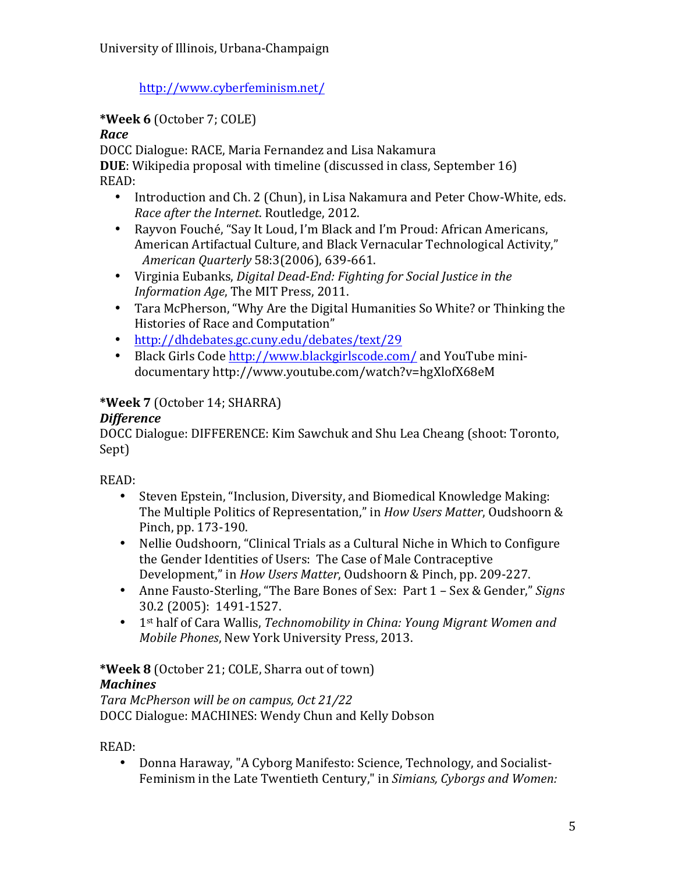http://www.cyberfeminism.net/

### **\*Week 6** (October 7; COLE)

#### *Race*

DOCC Dialogue: RACE, Maria Fernandez and Lisa Nakamura **DUE**: Wikipedia proposal with timeline (discussed in class, September 16) READ:

- Introduction and Ch. 2 (Chun), in Lisa Nakamura and Peter Chow-White, eds. *Race after the Internet*. Routledge, 2012.
- Rayvon Fouché, "Say It Loud, I'm Black and I'm Proud: African Americans, American Artifactual Culture, and Black Vernacular Technological Activity," *American Quarterly* 58:3(2006), 639-661.
- Virginia Eubanks, *Digital Dead-End: Fighting for Social Justice in the Information Age*, The MIT Press, 2011.
- Tara McPherson, "Why Are the Digital Humanities So White? or Thinking the Histories of Race and Computation"
- http://dhdebates.gc.cuny.edu/debates/text/29
- Black Girls Code http://www.blackgirlscode.com/ and YouTube minidocumentary http://www.youtube.com/watch?v=hgXlofX68eM

# **\*Week 7** (October 14; SHARRA)

### *Difference*

DOCC Dialogue: DIFFERENCE: Kim Sawchuk and Shu Lea Cheang (shoot: Toronto, Sept)

READ: 

- Steven Epstein, "Inclusion, Diversity, and Biomedical Knowledge Making: The Multiple Politics of Representation," in *How Users Matter*, Oudshoorn & Pinch, pp. 173-190.
- Nellie Oudshoorn, "Clinical Trials as a Cultural Niche in Which to Configure the Gender Identities of Users: The Case of Male Contraceptive Development," in *How Users Matter*, Oudshoorn & Pinch, pp. 209-227.
- Anne Fausto-Sterling, "The Bare Bones of Sex: Part 1 Sex & Gender," *Signs* 30.2 (2005): 1491-1527.
- 1<sup>st</sup> half of Cara Wallis, *Technomobility in China: Young Migrant Women and Mobile Phones, New York University Press, 2013.*

\*Week 8 (October 21; COLE, Sharra out of town) *Machines*

*Tara McPherson will be on campus, Oct 21/22* DOCC Dialogue: MACHINES: Wendy Chun and Kelly Dobson

READ: 

• Donna Haraway, "A Cyborg Manifesto: Science, Technology, and Socialist-Feminism in the Late Twentieth Century," in *Simians, Cyborgs and Women:*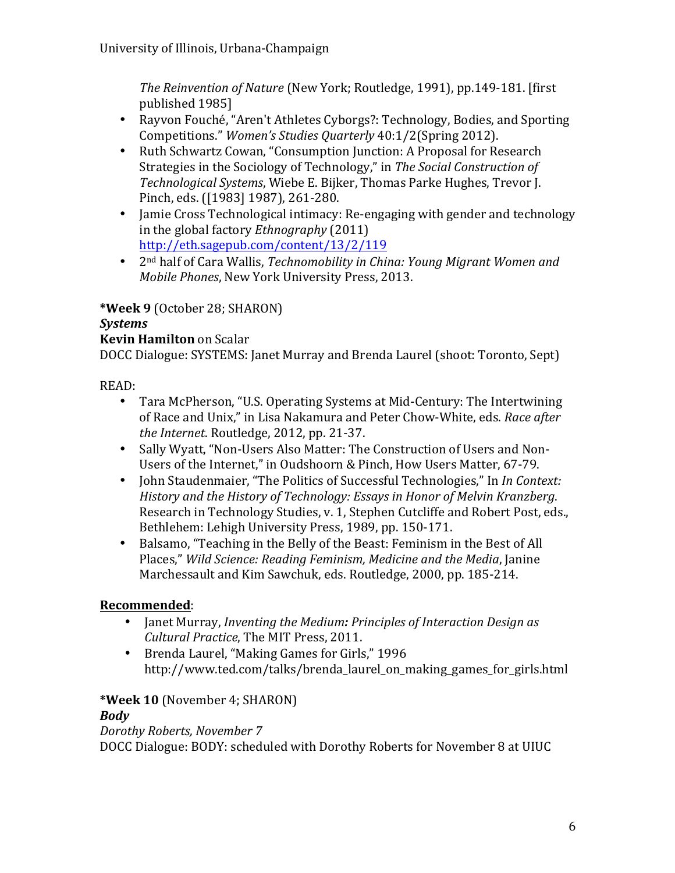*The Reinvention of Nature* (New York; Routledge, 1991), pp.149-181. [first] published 1985]

- Rayvon Fouché, "Aren't Athletes Cyborgs?: Technology, Bodies, and Sporting Competitions." *Women's Studies Quarterly* 40:1/2(Spring 2012).
- Ruth Schwartz Cowan, "Consumption Junction: A Proposal for Research Strategies in the Sociology of Technology," in The Social Construction of *Technological Systems*, Wiebe E. Bijker, Thomas Parke Hughes, Trevor J. Pinch, eds. ([1983] 1987), 261-280.
- Jamie Cross Technological intimacy: Re-engaging with gender and technology in the global factory *Ethnography* (2011) http://eth.sagepub.com/content/13/2/119
- 2<sup>nd</sup> half of Cara Wallis, *Technomobility in China: Young Migrant Women and Mobile Phones*, New York University Press, 2013.

# **\*Week 9** (October 28; SHARON)

#### *Systems*

#### **Kevin Hamilton** on Scalar

DOCC Dialogue: SYSTEMS: Janet Murray and Brenda Laurel (shoot: Toronto, Sept)

READ: 

- Tara McPherson, "U.S. Operating Systems at Mid-Century: The Intertwining of Race and Unix," in Lisa Nakamura and Peter Chow-White, eds. *Race after the Internet.* Routledge, 2012, pp. 21-37.
- Sally Wyatt, "Non-Users Also Matter: The Construction of Users and Non-Users of the Internet," in Oudshoorn & Pinch, How Users Matter, 67-79.
- Iohn Staudenmaier, "The Politics of Successful Technologies," In *In Context: History* and the History of Technology: *Essays* in Honor of Melvin Kranzberg. Research in Technology Studies, v. 1, Stephen Cutcliffe and Robert Post, eds., Bethlehem: Lehigh University Press, 1989, pp. 150-171.
- Balsamo, "Teaching in the Belly of the Beast: Feminism in the Best of All Places," Wild Science: Reading Feminism, Medicine and the Media, Janine Marchessault and Kim Sawchuk, eds. Routledge, 2000, pp. 185-214.

### **Recommended**:

- Janet Murray, *Inventing the Medium: Principles of Interaction Design as Cultural Practice*, The MIT Press, 2011.
- Brenda Laurel, "Making Games for Girls," 1996 http://www.ted.com/talks/brenda\_laurel\_on\_making\_games\_for\_girls.html

### \*Week 10 (November 4; SHARON)

#### *Body*

*Dorothy Roberts, November 7* DOCC Dialogue: BODY: scheduled with Dorothy Roberts for November 8 at UIUC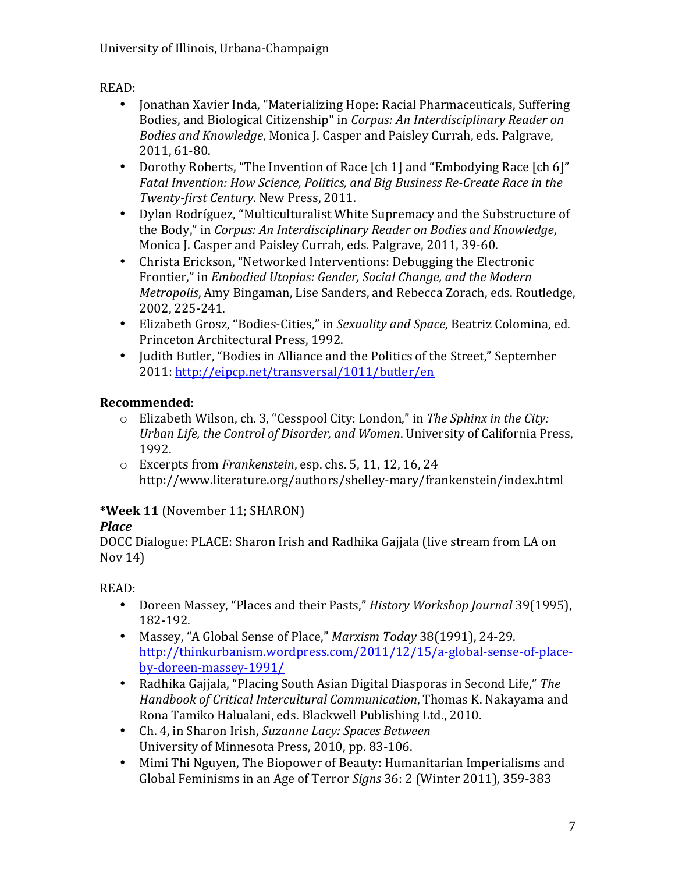### READ:

- Jonathan Xavier Inda, "Materializing Hope: Racial Pharmaceuticals, Suffering Bodies, and Biological Citizenship" in *Corpus: An Interdisciplinary Reader on Bodies and Knowledge*, Monica J. Casper and Paisley Currah, eds. Palgrave, 2011, 61-80.
- Dorothy Roberts, "The Invention of Race [ch 1] and "Embodying Race [ch 6]" Fatal Invention: How Science, Politics, and Big Business Re-Create Race in the *Twenty-first Century*. New Press, 2011.
- Dylan Rodríguez, "Multiculturalist White Supremacy and the Substructure of the Body," in *Corpus: An Interdisciplinary Reader on Bodies and Knowledge*, Monica J. Casper and Paisley Currah, eds. Palgrave, 2011, 39-60.
- Christa Erickson, "Networked Interventions: Debugging the Electronic Frontier," in *Embodied Utopias: Gender, Social Change, and the Modern Metropolis*, Amy Bingaman, Lise Sanders, and Rebecca Zorach, eds. Routledge, 2002, 225-241.
- Elizabeth Grosz, "Bodies-Cities," in *Sexuality and Space*, Beatriz Colomina, ed. Princeton Architectural Press, 1992.
- Judith Butler, "Bodies in Alliance and the Politics of the Street," September 2011: http://eipcp.net/transversal/1011/butler/en

## **Recommended**:

- o Elizabeth Wilson, ch. 3, "Cesspool City: London," in *The Sphinx in the City: Urban Life, the Control of Disorder, and Women. University of California Press,* 1992.
- o Excerpts from *Frankenstein*, esp. chs. 5, 11, 12, 16, 24 http://www.literature.org/authors/shelley-mary/frankenstein/index.html

# **\*Week 11** (November 11; SHARON)

### *Place*

DOCC Dialogue: PLACE: Sharon Irish and Radhika Gajjala (live stream from LA on Nov  $14$ )

READ: 

- Doreen Massey, "Places and their Pasts," *History Workshop Journal* 39(1995), 182-192.
- Massey, "A Global Sense of Place," *Marxism Today* 38(1991), 24-29. http://thinkurbanism.wordpress.com/2011/12/15/a-global-sense-of-placeby-doreen-massey-1991/
- Radhika Gajjala, "Placing South Asian Digital Diasporas in Second Life," The *Handbook of Critical Intercultural Communication*, Thomas K. Nakayama and Rona Tamiko Halualani, eds. Blackwell Publishing Ltd., 2010.
- Ch. 4, in Sharon Irish, *Suzanne Lacy: Spaces Between* University of Minnesota Press, 2010, pp. 83-106.
- Mimi Thi Nguyen, The Biopower of Beauty: Humanitarian Imperialisms and Global Feminisms in an Age of Terror *Signs* 36: 2 (Winter 2011), 359-383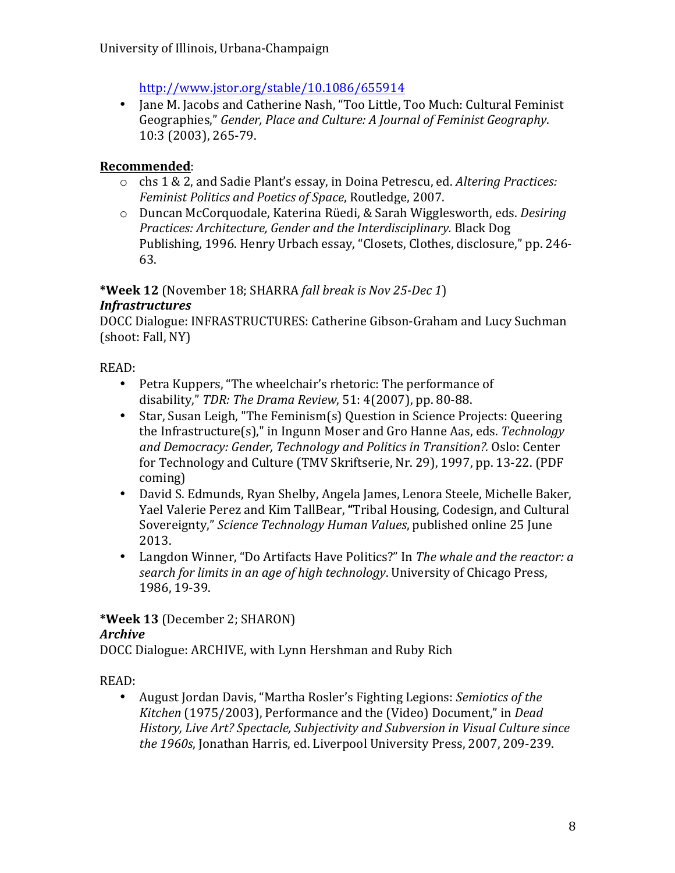http://www.jstor.org/stable/10.1086/655914

• Jane M. Jacobs and Catherine Nash, "Too Little, Too Much: Cultural Feminist Geographies," *Gender, Place and Culture: A Journal of Feminist Geography*. 10:3 (2003), 265-79.

### **Recommended**:

- o chs 1 & 2, and Sadie Plant's essay, in Doina Petrescu, ed. *Altering Practices: Feminist Politics and Poetics of Space, Routledge, 2007.*
- o Duncan McCorquodale, Katerina Rüedi, & Sarah Wigglesworth, eds. *Desiring Practices: Architecture, Gender and the Interdisciplinary.* Black Dog Publishing, 1996. Henry Urbach essay, "Closets, Clothes, disclosure," pp. 246-63.

\*Week 12 (November 18; SHARRA *fall break is Nov 25-Dec 1*)

#### *Infrastructures*

DOCC Dialogue: INFRASTRUCTURES: Catherine Gibson-Graham and Lucy Suchman (shoot: Fall, NY)

READ: 

- Petra Kuppers, "The wheelchair's rhetoric: The performance of disability," *TDR: The Drama Review*, 51: 4(2007), pp. 80-88.
- Star, Susan Leigh, "The Feminism(s) Question in Science Projects: Queering the Infrastructure(s)," in Ingunn Moser and Gro Hanne Aas, eds. *Technology and Democracy: Gender, Technology and Politics in Transition?.* Oslo: Center for Technology and Culture (TMV Skriftserie, Nr. 29), 1997, pp. 13-22. (PDF coming)
- David S. Edmunds, Ryan Shelby, Angela James, Lenora Steele, Michelle Baker, Yael Valerie Perez and Kim TallBear, "Tribal Housing, Codesign, and Cultural Sovereignty," *Science Technology Human Values*, published online 25 June 2013.
- Langdon Winner, "Do Artifacts Have Politics?" In *The whale and the reactor: a search for limits in an age of high technology*. University of Chicago Press, 1986, 19-39.

**\*Week 13** (December 2; SHARON) *Archive*

DOCC Dialogue: ARCHIVE, with Lynn Hershman and Ruby Rich

READ:

August Jordan Davis, "Martha Rosler's Fighting Legions: *Semiotics of the Kitchen* (1975/2003), Performance and the (Video) Document," in *Dead History, Live Art? Spectacle, Subjectivity and Subversion in Visual Culture since* the 1960s, Jonathan Harris, ed. Liverpool University Press, 2007, 209-239.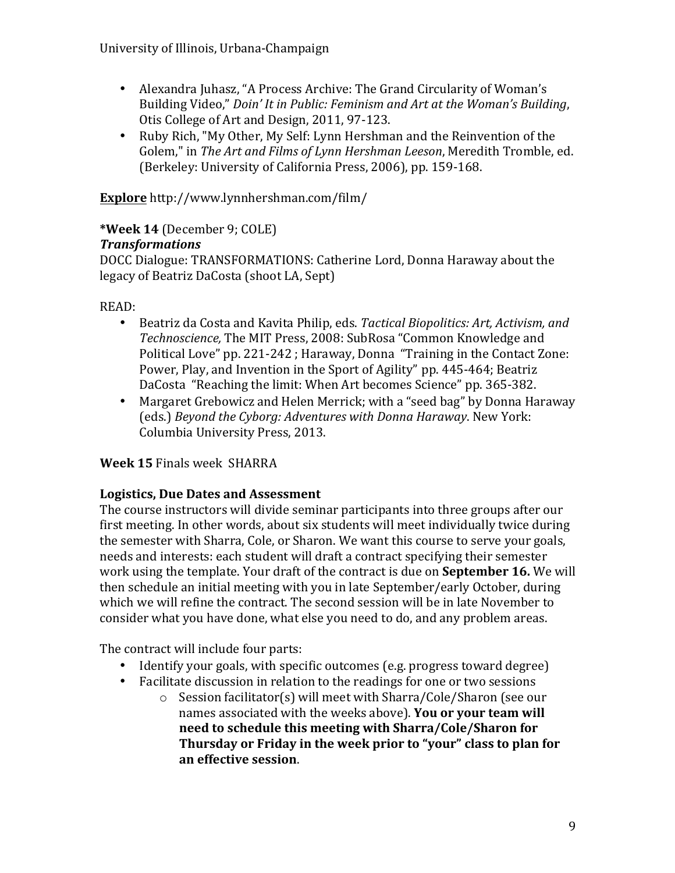- Alexandra Juhasz, "A Process Archive: The Grand Circularity of Woman's Building Video," *Doin' It in Public: Feminism and Art at the Woman's Building*, Otis College of Art and Design, 2011, 97-123.
- Ruby Rich, "My Other, My Self: Lynn Hershman and the Reinvention of the Golem," in The Art and Films of Lynn Hershman Leeson, Meredith Tromble, ed. (Berkeley: University of California Press, 2006), pp. 159-168.

**Explore** http://www.lynnhershman.com/film/

### **\*Week 14** (December 9; COLE)

#### *Transformations*

DOCC Dialogue: TRANSFORMATIONS: Catherine Lord, Donna Haraway about the legacy of Beatriz DaCosta (shoot LA, Sept)

READ: 

- Beatriz da Costa and Kavita Philip, eds. *Tactical Biopolitics: Art, Activism, and* Technoscience, The MIT Press, 2008: SubRosa "Common Knowledge and Political Love" pp. 221-242 ; Haraway, Donna "Training in the Contact Zone: Power, Play, and Invention in the Sport of Agility" pp. 445-464; Beatriz DaCosta "Reaching the limit: When Art becomes Science" pp. 365-382.
- Margaret Grebowicz and Helen Merrick; with a "seed bag" by Donna Haraway (eds.) Beyond the Cyborg: Adventures with Donna Haraway. New York: Columbia University Press, 2013.

#### **Week 15** Finals week SHARRA

#### **Logistics, Due Dates and Assessment**

The course instructors will divide seminar participants into three groups after our first meeting. In other words, about six students will meet individually twice during the semester with Sharra, Cole, or Sharon. We want this course to serve your goals, needs and interests: each student will draft a contract specifying their semester work using the template. Your draft of the contract is due on **September 16.** We will then schedule an initial meeting with you in late September/early October, during which we will refine the contract. The second session will be in late November to consider what you have done, what else you need to do, and any problem areas.

The contract will include four parts:

- Identify your goals, with specific outcomes (e.g. progress toward degree)
- Facilitate discussion in relation to the readings for one or two sessions
	- $\circ$  Session facilitator(s) will meet with Sharra/Cole/Sharon (see our names associated with the weeks above). You or your team will **need to schedule this meeting with Sharra/Cole/Sharon for** Thursday or Friday in the week prior to "your" class to plan for **an effective session**.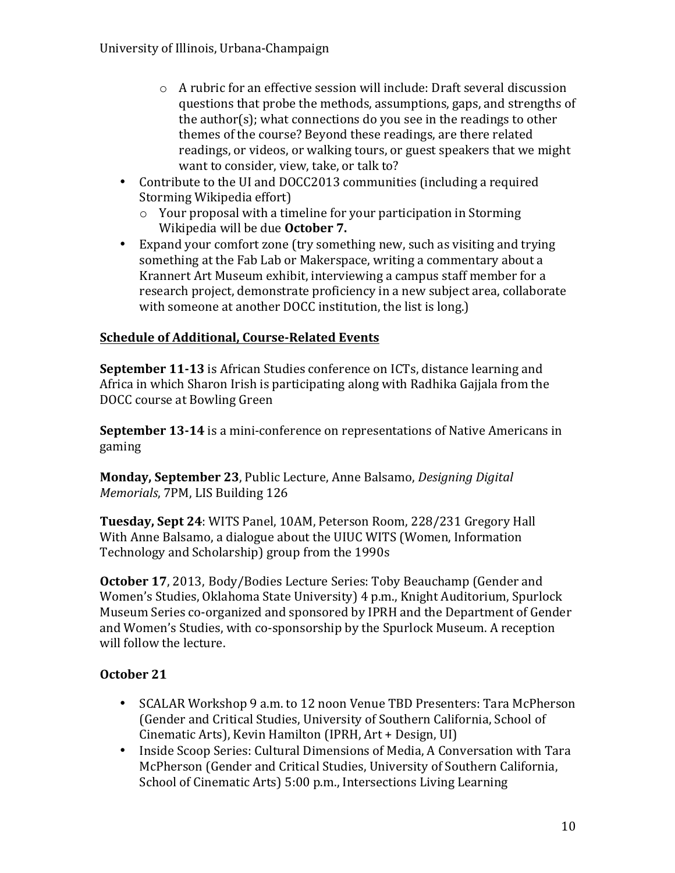- $\circ$  A rubric for an effective session will include: Draft several discussion questions that probe the methods, assumptions, gaps, and strengths of the author(s); what connections do you see in the readings to other themes of the course? Beyond these readings, are there related readings, or videos, or walking tours, or guest speakers that we might want to consider, view, take, or talk to?
- Contribute to the UI and DOCC2013 communities (including a required Storming Wikipedia effort)
	- $\circ$  Your proposal with a timeline for your participation in Storming Wikipedia will be due **October 7.**
- Expand your comfort zone (try something new, such as visiting and trying something at the Fab Lab or Makerspace, writing a commentary about a Krannert Art Museum exhibit, interviewing a campus staff member for a research project, demonstrate proficiency in a new subject area, collaborate with someone at another DOCC institution, the list is long.)

### **Schedule of Additional, Course-Related Events**

**September 11-13** is African Studies conference on ICTs, distance learning and Africa in which Sharon Irish is participating along with Radhika Gajjala from the DOCC course at Bowling Green

**September 13-14** is a mini-conference on representations of Native Americans in gaming

**Monday, September 23**, Public Lecture, Anne Balsamo, *Designing Digital Memorials, 7PM, LIS Building 126* 

**Tuesday, Sept 24**: WITS Panel, 10AM, Peterson Room, 228/231 Gregory Hall With Anne Balsamo, a dialogue about the UIUC WITS (Women, Information Technology and Scholarship) group from the 1990s

**October 17, 2013, Body/Bodies Lecture Series: Toby Beauchamp (Gender and** Women's Studies, Oklahoma State University) 4 p.m., Knight Auditorium, Spurlock Museum Series co-organized and sponsored by IPRH and the Department of Gender and Women's Studies, with co-sponsorship by the Spurlock Museum. A reception will follow the lecture.

### **October 21**

- SCALAR Workshop 9 a.m. to 12 noon Venue TBD Presenters: Tara McPherson (Gender and Critical Studies, University of Southern California, School of Cinematic Arts), Kevin Hamilton (IPRH, Art + Design, UI)
- Inside Scoop Series: Cultural Dimensions of Media, A Conversation with Tara McPherson (Gender and Critical Studies, University of Southern California, School of Cinematic Arts) 5:00 p.m., Intersections Living Learning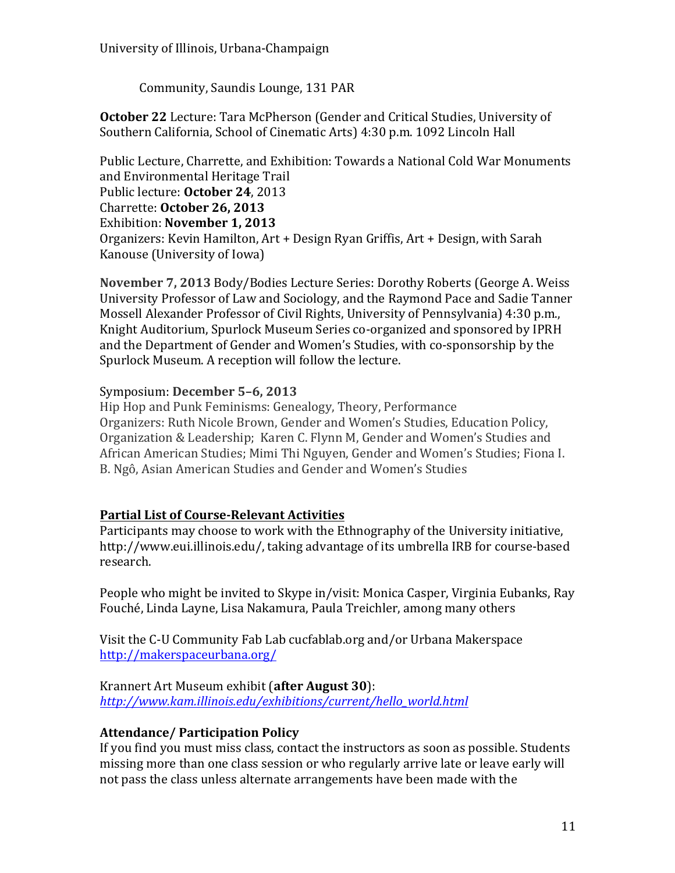Community, Saundis Lounge, 131 PAR

**October 22** Lecture: Tara McPherson (Gender and Critical Studies, University of Southern California, School of Cinematic Arts) 4:30 p.m. 1092 Lincoln Hall

Public Lecture, Charrette, and Exhibition: Towards a National Cold War Monuments and Environmental Heritage Trail Public lecture: October 24, 2013 Charrette: **October 26, 2013** Exhibition: **November 1, 2013** Organizers: Kevin Hamilton, Art + Design Ryan Griffis, Art + Design, with Sarah Kanouse (University of Iowa)

**November 7, 2013 Body/Bodies Lecture Series: Dorothy Roberts (George A. Weiss)** University Professor of Law and Sociology, and the Raymond Pace and Sadie Tanner Mossell Alexander Professor of Civil Rights, University of Pennsylvania) 4:30 p.m., Knight Auditorium, Spurlock Museum Series co-organized and sponsored by IPRH and the Department of Gender and Women's Studies, with co-sponsorship by the Spurlock Museum. A reception will follow the lecture.

#### Symposium: December 5-6, 2013

Hip Hop and Punk Feminisms: Genealogy, Theory, Performance Organizers: Ruth Nicole Brown, Gender and Women's Studies, Education Policy, Organization & Leadership; Karen C. Flynn M, Gender and Women's Studies and African American Studies; Mimi Thi Nguyen, Gender and Women's Studies; Fiona I. B. Ngô, Asian American Studies and Gender and Women's Studies

#### **Partial List of Course-Relevant Activities**

Participants may choose to work with the Ethnography of the University initiative, http://www.eui.illinois.edu/, taking advantage of its umbrella IRB for course-based research.

People who might be invited to Skype in/visit: Monica Casper, Virginia Eubanks, Ray Fouché, Linda Layne, Lisa Nakamura, Paula Treichler, among many others

Visit the C-U Community Fab Lab cucfablab.org and/or Urbana Makerspace http://makerspaceurbana.org/

#### Krannert Art Museum exhibit (after August 30):

*http://www.kam.illinois.edu/exhibitions/current/hello\_world.html*

#### **Attendance/ Participation Policy**

If you find you must miss class, contact the instructors as soon as possible. Students missing more than one class session or who regularly arrive late or leave early will not pass the class unless alternate arrangements have been made with the